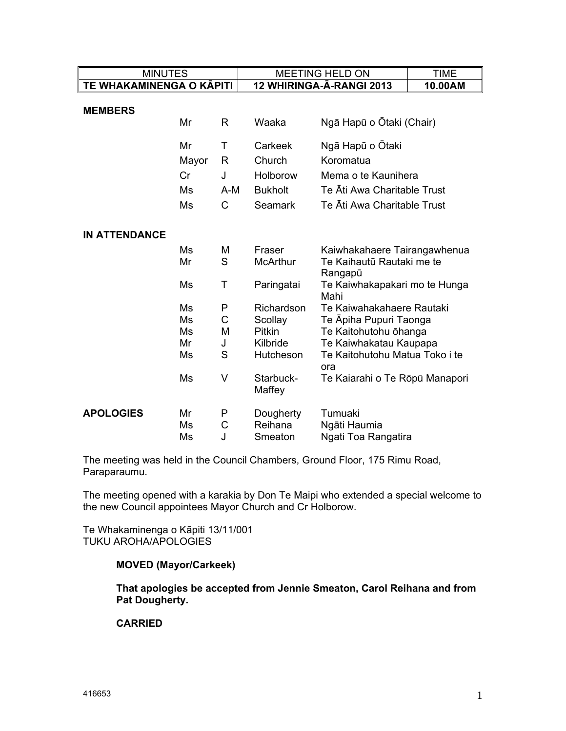| <b>MINUTES</b>           |                                                    |                                                      | <b>MEETING HELD ON</b>                                                                                                            |                                                                                                                                                                                                                                                                                                    | <b>TIME</b> |
|--------------------------|----------------------------------------------------|------------------------------------------------------|-----------------------------------------------------------------------------------------------------------------------------------|----------------------------------------------------------------------------------------------------------------------------------------------------------------------------------------------------------------------------------------------------------------------------------------------------|-------------|
| TE WHAKAMINENGA O KĀPITI |                                                    |                                                      | 12 WHIRINGA-A-RANGI 2013                                                                                                          |                                                                                                                                                                                                                                                                                                    | 10.00AM     |
| <b>MEMBERS</b>           | Mr                                                 | R                                                    | Waaka                                                                                                                             | Ngā Hapū o Ōtaki (Chair)                                                                                                                                                                                                                                                                           |             |
|                          | Mr<br>Mayor<br>Cr<br>Ms<br>Ms                      | Τ<br>R<br>J<br>$A-M$<br>$\mathsf{C}$                 | Carkeek<br>Church<br>Holborow<br><b>Bukholt</b><br><b>Seamark</b>                                                                 | Ngā Hapū o Ōtaki<br>Koromatua<br>Mema o te Kaunihera<br>Te Āti Awa Charitable Trust<br>Te Āti Awa Charitable Trust                                                                                                                                                                                 |             |
| <b>IN ATTENDANCE</b>     | Ms<br>Mr<br>Ms<br>Ms<br>Ms<br>Ms<br>Mr<br>Ms<br>Ms | M<br>S<br>Τ<br>P<br>$\mathsf{C}$<br>М<br>J<br>S<br>V | Fraser<br><b>McArthur</b><br>Paringatai<br>Richardson<br>Scollay<br><b>Pitkin</b><br>Kilbride<br>Hutcheson<br>Starbuck-<br>Maffey | Kaiwhakahaere Tairangawhenua<br>Te Kaihautū Rautaki me te<br>Rangapū<br>Te Kaiwhakapakari mo te Hunga<br>Mahi<br>Te Kaiwahakahaere Rautaki<br>Te Āpiha Pupuri Taonga<br>Te Kaitohutohu ōhanga<br>Te Kaiwhakatau Kaupapa<br>Te Kaitohutohu Matua Toko i te<br>ora<br>Te Kaiarahi o Te Rōpū Manapori |             |
| <b>APOLOGIES</b>         | Mr<br>Ms<br>Ms                                     | P<br>С<br>J                                          | Dougherty<br>Reihana<br>Smeaton                                                                                                   | Tumuaki<br>Ngāti Haumia<br>Ngati Toa Rangatira                                                                                                                                                                                                                                                     |             |

The meeting was held in the Council Chambers, Ground Floor, 175 Rimu Road, Paraparaumu.

The meeting opened with a karakia by Don Te Maipi who extended a special welcome to the new Council appointees Mayor Church and Cr Holborow.

Te Whakaminenga o Kāpiti 13/11/001 TUKU AROHA/APOLOGIES

#### **MOVED (Mayor/Carkeek)**

**That apologies be accepted from Jennie Smeaton, Carol Reihana and from Pat Dougherty.** 

#### **CARRIED**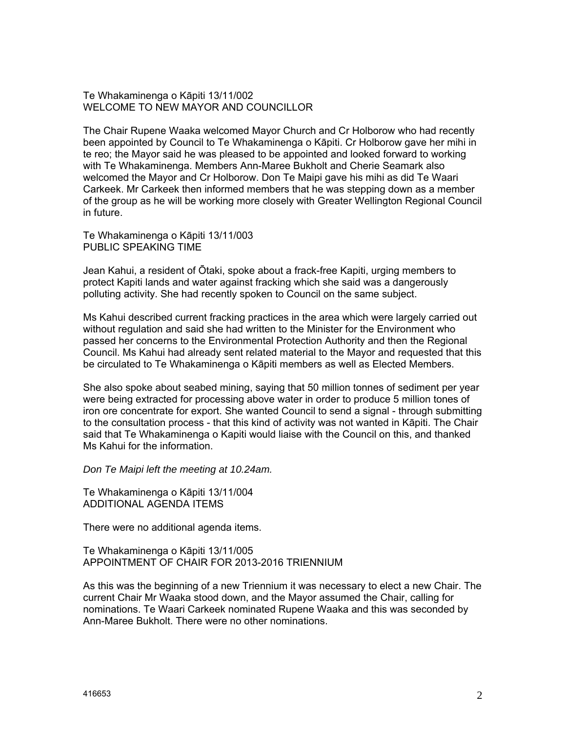Te Whakaminenga o Kāpiti 13/11/002 WELCOME TO NEW MAYOR AND COUNCILLOR

The Chair Rupene Waaka welcomed Mayor Church and Cr Holborow who had recently been appointed by Council to Te Whakaminenga o Kāpiti. Cr Holborow gave her mihi in te reo; the Mayor said he was pleased to be appointed and looked forward to working with Te Whakaminenga. Members Ann-Maree Bukholt and Cherie Seamark also welcomed the Mayor and Cr Holborow. Don Te Maipi gave his mihi as did Te Waari Carkeek. Mr Carkeek then informed members that he was stepping down as a member of the group as he will be working more closely with Greater Wellington Regional Council in future.

Te Whakaminenga o Kāpiti 13/11/003 PUBLIC SPEAKING TIME

Jean Kahui, a resident of Ōtaki, spoke about a frack-free Kapiti, urging members to protect Kapiti lands and water against fracking which she said was a dangerously polluting activity. She had recently spoken to Council on the same subject.

Ms Kahui described current fracking practices in the area which were largely carried out without regulation and said she had written to the Minister for the Environment who passed her concerns to the Environmental Protection Authority and then the Regional Council. Ms Kahui had already sent related material to the Mayor and requested that this be circulated to Te Whakaminenga o Kāpiti members as well as Elected Members.

She also spoke about seabed mining, saying that 50 million tonnes of sediment per year were being extracted for processing above water in order to produce 5 million tones of iron ore concentrate for export. She wanted Council to send a signal - through submitting to the consultation process - that this kind of activity was not wanted in Kāpiti. The Chair said that Te Whakaminenga o Kapiti would liaise with the Council on this, and thanked Ms Kahui for the information.

*Don Te Maipi left the meeting at 10.24am.* 

Te Whakaminenga o Kāpiti 13/11/004 ADDITIONAL AGENDA ITEMS

There were no additional agenda items.

Te Whakaminenga o Kāpiti 13/11/005 APPOINTMENT OF CHAIR FOR 2013-2016 TRIENNIUM

As this was the beginning of a new Triennium it was necessary to elect a new Chair. The current Chair Mr Waaka stood down, and the Mayor assumed the Chair, calling for nominations. Te Waari Carkeek nominated Rupene Waaka and this was seconded by Ann-Maree Bukholt. There were no other nominations.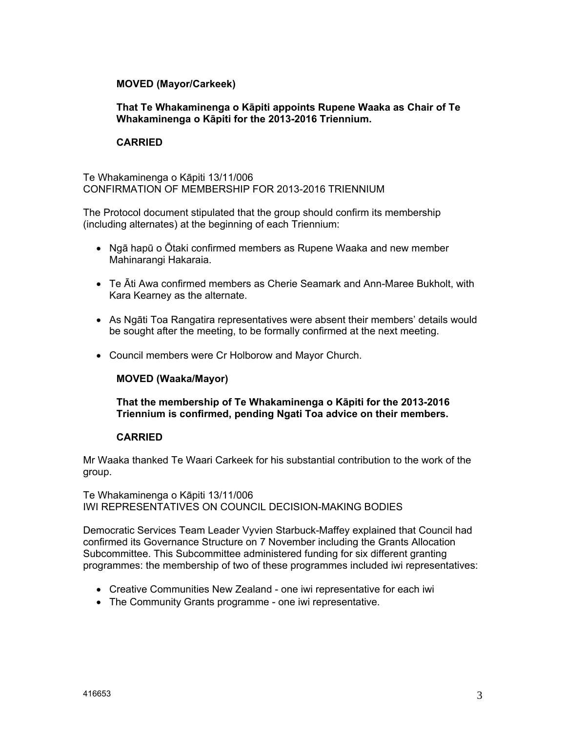## **MOVED (Mayor/Carkeek)**

## **That Te Whakaminenga o Kāpiti appoints Rupene Waaka as Chair of Te Whakaminenga o Kāpiti for the 2013-2016 Triennium.**

# **CARRIED**

Te Whakaminenga o Kāpiti 13/11/006 CONFIRMATION OF MEMBERSHIP FOR 2013-2016 TRIENNIUM

The Protocol document stipulated that the group should confirm its membership (including alternates) at the beginning of each Triennium:

- Ngā hapū o Ōtaki confirmed members as Rupene Waaka and new member Mahinarangi Hakaraia.
- Te Āti Awa confirmed members as Cherie Seamark and Ann-Maree Bukholt, with Kara Kearney as the alternate.
- As Ngāti Toa Rangatira representatives were absent their members' details would be sought after the meeting, to be formally confirmed at the next meeting.
- Council members were Cr Holborow and Mayor Church.

# **MOVED (Waaka/Mayor)**

**That the membership of Te Whakaminenga o Kāpiti for the 2013-2016 Triennium is confirmed, pending Ngati Toa advice on their members.** 

### **CARRIED**

Mr Waaka thanked Te Waari Carkeek for his substantial contribution to the work of the group.

Te Whakaminenga o Kāpiti 13/11/006 IWI REPRESENTATIVES ON COUNCIL DECISION-MAKING BODIES

Democratic Services Team Leader Vyvien Starbuck-Maffey explained that Council had confirmed its Governance Structure on 7 November including the Grants Allocation Subcommittee. This Subcommittee administered funding for six different granting programmes: the membership of two of these programmes included iwi representatives:

- Creative Communities New Zealand one iwi representative for each iwi
- The Community Grants programme one iwi representative.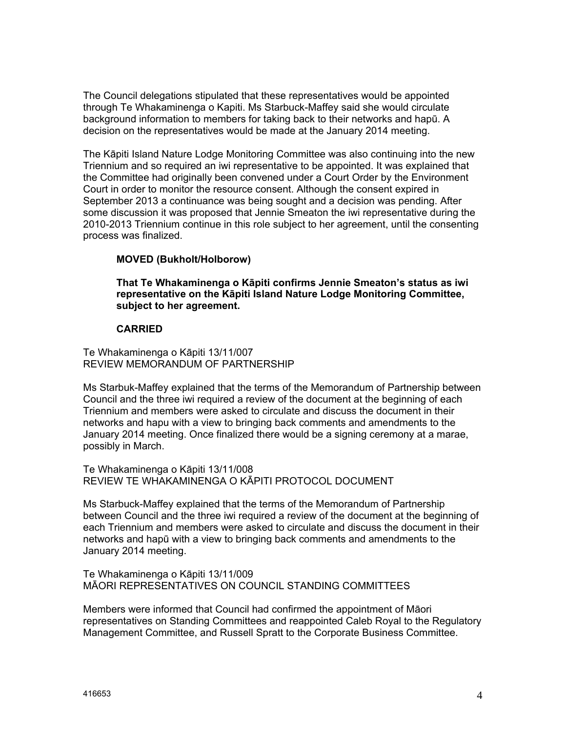The Council delegations stipulated that these representatives would be appointed through Te Whakaminenga o Kapiti. Ms Starbuck-Maffey said she would circulate background information to members for taking back to their networks and hapū. A decision on the representatives would be made at the January 2014 meeting.

The Kāpiti Island Nature Lodge Monitoring Committee was also continuing into the new Triennium and so required an iwi representative to be appointed. It was explained that the Committee had originally been convened under a Court Order by the Environment Court in order to monitor the resource consent. Although the consent expired in September 2013 a continuance was being sought and a decision was pending. After some discussion it was proposed that Jennie Smeaton the iwi representative during the 2010-2013 Triennium continue in this role subject to her agreement, until the consenting process was finalized.

# **MOVED (Bukholt/Holborow)**

**That Te Whakaminenga o Kāpiti confirms Jennie Smeaton's status as iwi representative on the Kāpiti Island Nature Lodge Monitoring Committee, subject to her agreement.** 

#### **CARRIED**

Te Whakaminenga o Kāpiti 13/11/007 REVIEW MEMORANDUM OF PARTNERSHIP

Ms Starbuk-Maffey explained that the terms of the Memorandum of Partnership between Council and the three iwi required a review of the document at the beginning of each Triennium and members were asked to circulate and discuss the document in their networks and hapu with a view to bringing back comments and amendments to the January 2014 meeting. Once finalized there would be a signing ceremony at a marae, possibly in March.

Te Whakaminenga o Kāpiti 13/11/008 REVIEW TE WHAKAMINENGA O KĀPITI PROTOCOL DOCUMENT

Ms Starbuck-Maffey explained that the terms of the Memorandum of Partnership between Council and the three iwi required a review of the document at the beginning of each Triennium and members were asked to circulate and discuss the document in their networks and hapū with a view to bringing back comments and amendments to the January 2014 meeting.

Te Whakaminenga o Kāpiti 13/11/009 MĀORI REPRESENTATIVES ON COUNCIL STANDING COMMITTEES

Members were informed that Council had confirmed the appointment of Māori representatives on Standing Committees and reappointed Caleb Royal to the Regulatory Management Committee, and Russell Spratt to the Corporate Business Committee.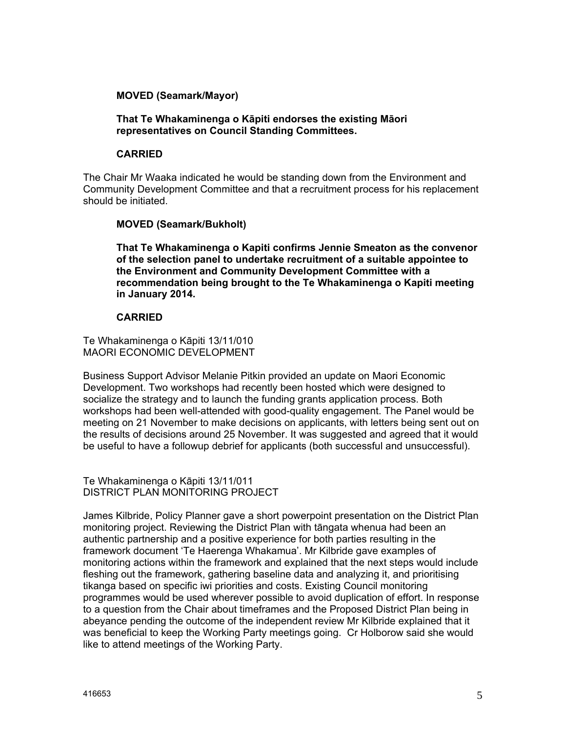## **MOVED (Seamark/Mayor)**

### **That Te Whakaminenga o Kāpiti endorses the existing Māori representatives on Council Standing Committees.**

### **CARRIED**

The Chair Mr Waaka indicated he would be standing down from the Environment and Community Development Committee and that a recruitment process for his replacement should be initiated.

# **MOVED (Seamark/Bukholt)**

**That Te Whakaminenga o Kapiti confirms Jennie Smeaton as the convenor of the selection panel to undertake recruitment of a suitable appointee to the Environment and Community Development Committee with a recommendation being brought to the Te Whakaminenga o Kapiti meeting in January 2014.** 

## **CARRIED**

Te Whakaminenga o Kāpiti 13/11/010 MAORI ECONOMIC DEVELOPMENT

Business Support Advisor Melanie Pitkin provided an update on Maori Economic Development. Two workshops had recently been hosted which were designed to socialize the strategy and to launch the funding grants application process. Both workshops had been well-attended with good-quality engagement. The Panel would be meeting on 21 November to make decisions on applicants, with letters being sent out on the results of decisions around 25 November. It was suggested and agreed that it would be useful to have a followup debrief for applicants (both successful and unsuccessful).

Te Whakaminenga o Kāpiti 13/11/011 DISTRICT PLAN MONITORING PROJECT

James Kilbride, Policy Planner gave a short powerpoint presentation on the District Plan monitoring project. Reviewing the District Plan with tāngata whenua had been an authentic partnership and a positive experience for both parties resulting in the framework document 'Te Haerenga Whakamua'. Mr Kilbride gave examples of monitoring actions within the framework and explained that the next steps would include fleshing out the framework, gathering baseline data and analyzing it, and prioritising tikanga based on specific iwi priorities and costs. Existing Council monitoring programmes would be used wherever possible to avoid duplication of effort. In response to a question from the Chair about timeframes and the Proposed District Plan being in abeyance pending the outcome of the independent review Mr Kilbride explained that it was beneficial to keep the Working Party meetings going. Cr Holborow said she would like to attend meetings of the Working Party.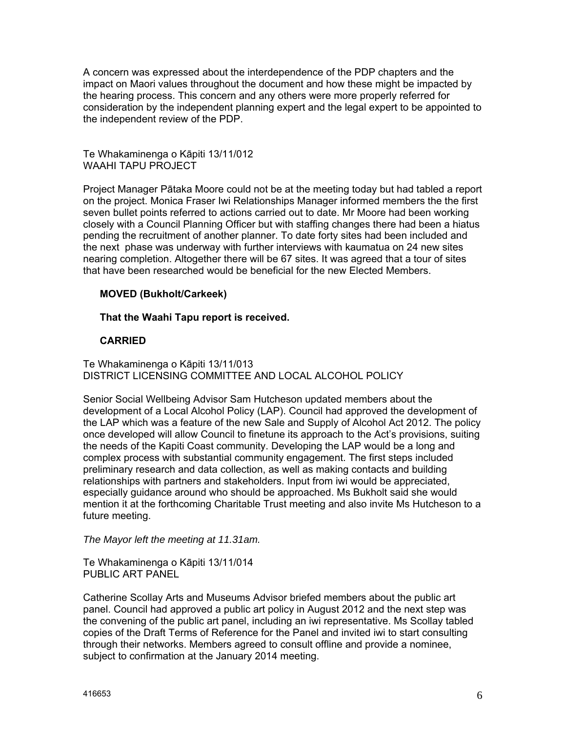A concern was expressed about the interdependence of the PDP chapters and the impact on Maori values throughout the document and how these might be impacted by the hearing process. This concern and any others were more properly referred for consideration by the independent planning expert and the legal expert to be appointed to the independent review of the PDP.

Te Whakaminenga o Kāpiti 13/11/012 WAAHI TAPU PROJECT

Project Manager Pātaka Moore could not be at the meeting today but had tabled a report on the project. Monica Fraser Iwi Relationships Manager informed members the the first seven bullet points referred to actions carried out to date. Mr Moore had been working closely with a Council Planning Officer but with staffing changes there had been a hiatus pending the recruitment of another planner. To date forty sites had been included and the next phase was underway with further interviews with kaumatua on 24 new sites nearing completion. Altogether there will be 67 sites. It was agreed that a tour of sites that have been researched would be beneficial for the new Elected Members.

# **MOVED (Bukholt/Carkeek)**

**That the Waahi Tapu report is received.** 

## **CARRIED**

Te Whakaminenga o Kāpiti 13/11/013 DISTRICT LICENSING COMMITTEE AND LOCAL ALCOHOL POLICY

Senior Social Wellbeing Advisor Sam Hutcheson updated members about the development of a Local Alcohol Policy (LAP). Council had approved the development of the LAP which was a feature of the new Sale and Supply of Alcohol Act 2012. The policy once developed will allow Council to finetune its approach to the Act's provisions, suiting the needs of the Kapiti Coast community. Developing the LAP would be a long and complex process with substantial community engagement. The first steps included preliminary research and data collection, as well as making contacts and building relationships with partners and stakeholders. Input from iwi would be appreciated, especially guidance around who should be approached. Ms Bukholt said she would mention it at the forthcoming Charitable Trust meeting and also invite Ms Hutcheson to a future meeting.

*The Mayor left the meeting at 11.31am.* 

Te Whakaminenga o Kāpiti 13/11/014 PUBLIC ART PANEL

Catherine Scollay Arts and Museums Advisor briefed members about the public art panel. Council had approved a public art policy in August 2012 and the next step was the convening of the public art panel, including an iwi representative. Ms Scollay tabled copies of the Draft Terms of Reference for the Panel and invited iwi to start consulting through their networks. Members agreed to consult offline and provide a nominee, subject to confirmation at the January 2014 meeting.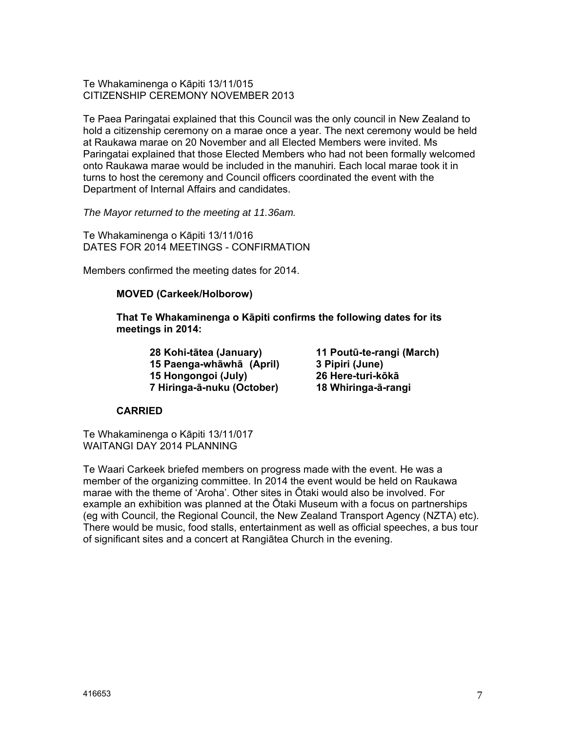Te Whakaminenga o Kāpiti 13/11/015 CITIZENSHIP CEREMONY NOVEMBER 2013

Te Paea Paringatai explained that this Council was the only council in New Zealand to hold a citizenship ceremony on a marae once a year. The next ceremony would be held at Raukawa marae on 20 November and all Elected Members were invited. Ms Paringatai explained that those Elected Members who had not been formally welcomed onto Raukawa marae would be included in the manuhiri. Each local marae took it in turns to host the ceremony and Council officers coordinated the event with the Department of Internal Affairs and candidates.

*The Mayor returned to the meeting at 11.36am.* 

Te Whakaminenga o Kāpiti 13/11/016 DATES FOR 2014 MEETINGS - CONFIRMATION

Members confirmed the meeting dates for 2014.

#### **MOVED (Carkeek/Holborow)**

**That Te Whakaminenga o Kāpiti confirms the following dates for its meetings in 2014:** 

> **28 Kohi-tātea (January) 11 Poutū-te-rangi (March) 15 Paenga-whāwhā (April) 3 Pipiri (June) 15 Hongongoi (July) 26 Here-turi-kōkā 7 Hiringa-ā-nuku (October) 18 Whiringa-ā-rangi**

#### **CARRIED**

Te Whakaminenga o Kāpiti 13/11/017 WAITANGI DAY 2014 PLANNING

Te Waari Carkeek briefed members on progress made with the event. He was a member of the organizing committee. In 2014 the event would be held on Raukawa marae with the theme of 'Aroha'. Other sites in Ōtaki would also be involved. For example an exhibition was planned at the Ōtaki Museum with a focus on partnerships (eg with Council, the Regional Council, the New Zealand Transport Agency (NZTA) etc). There would be music, food stalls, entertainment as well as official speeches, a bus tour of significant sites and a concert at Rangiātea Church in the evening.